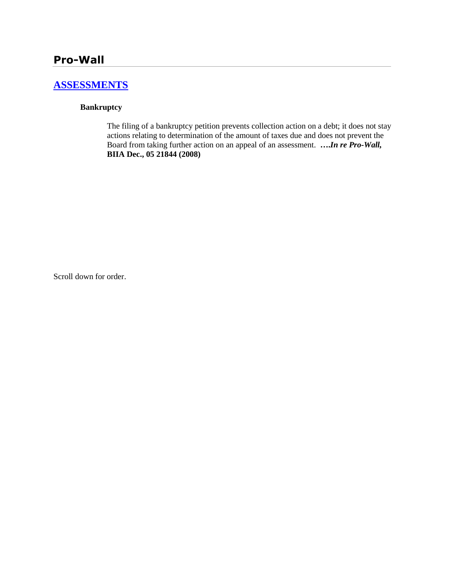## **[ASSESSMENTS](http://www.biia.wa.gov/SDSubjectIndex.html#ASSESSMENTS)**

#### **Bankruptcy**

The filing of a bankruptcy petition prevents collection action on a debt; it does not stay actions relating to determination of the amount of taxes due and does not prevent the Board from taking further action on an appeal of an assessment. **….***In re Pro-Wall,* **BIIA Dec., 05 21844 (2008)**

Scroll down for order.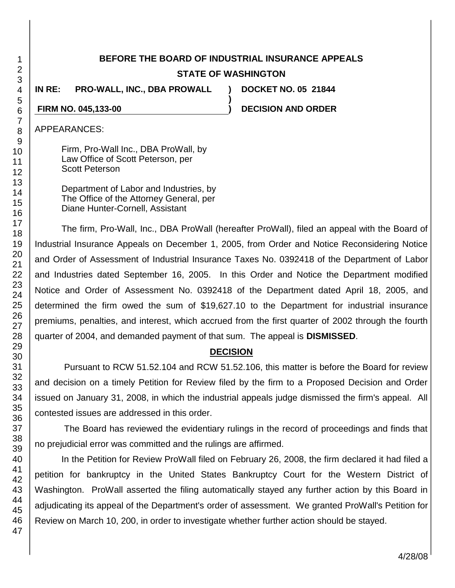# **BEFORE THE BOARD OF INDUSTRIAL INSURANCE APPEALS STATE OF WASHINGTON**

**)**

**IN RE: PRO-WALL, INC., DBA PROWALL ) DOCKET NO. 05 21844**

**FIRM NO. 045,133-00 ) DECISION AND ORDER**

## APPEARANCES:

Firm, Pro-Wall Inc., DBA ProWall, by Law Office of Scott Peterson, per Scott Peterson

Department of Labor and Industries, by The Office of the Attorney General, per Diane Hunter-Cornell, Assistant

The firm, Pro-Wall, Inc., DBA ProWall (hereafter ProWall), filed an appeal with the Board of Industrial Insurance Appeals on December 1, 2005, from Order and Notice Reconsidering Notice and Order of Assessment of Industrial Insurance Taxes No. 0392418 of the Department of Labor and Industries dated September 16, 2005. In this Order and Notice the Department modified Notice and Order of Assessment No. 0392418 of the Department dated April 18, 2005, and determined the firm owed the sum of \$19,627.10 to the Department for industrial insurance premiums, penalties, and interest, which accrued from the first quarter of 2002 through the fourth quarter of 2004, and demanded payment of that sum. The appeal is **DISMISSED**.

#### **DECISION**

Pursuant to RCW 51.52.104 and RCW 51.52.106, this matter is before the Board for review and decision on a timely Petition for Review filed by the firm to a Proposed Decision and Order issued on January 31, 2008, in which the industrial appeals judge dismissed the firm's appeal. All contested issues are addressed in this order.

The Board has reviewed the evidentiary rulings in the record of proceedings and finds that no prejudicial error was committed and the rulings are affirmed.

In the Petition for Review ProWall filed on February 26, 2008, the firm declared it had filed a petition for bankruptcy in the United States Bankruptcy Court for the Western District of Washington. ProWall asserted the filing automatically stayed any further action by this Board in adjudicating its appeal of the Department's order of assessment. We granted ProWall's Petition for Review on March 10, 200, in order to investigate whether further action should be stayed.

1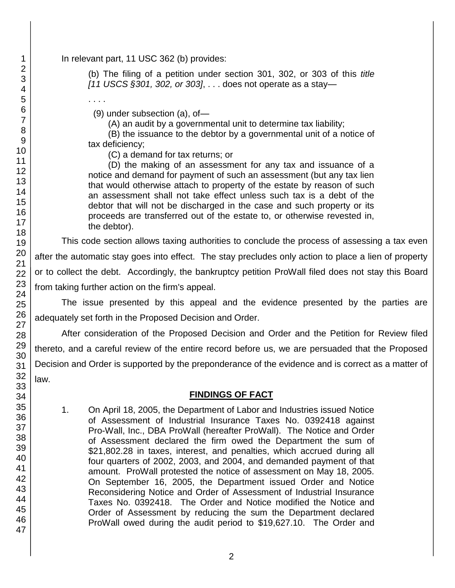#### In relevant part, 11 USC 362 (b) provides:

. . . .

(b) The filing of a petition under section 301, 302, or 303 of this *title [11 USCS §301, 302, or 303]*, . . . does not operate as a stay—

(9) under subsection (a), of—

(A) an audit by a governmental unit to determine tax liability;

 (B) the issuance to the debtor by a governmental unit of a notice of tax deficiency;

(C) a demand for tax returns; or

 (D) the making of an assessment for any tax and issuance of a notice and demand for payment of such an assessment (but any tax lien that would otherwise attach to property of the estate by reason of such an assessment shall not take effect unless such tax is a debt of the debtor that will not be discharged in the case and such property or its proceeds are transferred out of the estate to, or otherwise revested in, the debtor).

This code section allows taxing authorities to conclude the process of assessing a tax even after the automatic stay goes into effect. The stay precludes only action to place a lien of property or to collect the debt. Accordingly, the bankruptcy petition ProWall filed does not stay this Board from taking further action on the firm's appeal.

The issue presented by this appeal and the evidence presented by the parties are adequately set forth in the Proposed Decision and Order.

After consideration of the Proposed Decision and Order and the Petition for Review filed thereto, and a careful review of the entire record before us, we are persuaded that the Proposed Decision and Order is supported by the preponderance of the evidence and is correct as a matter of law.

### **FINDINGS OF FACT**

1. On April 18, 2005, the Department of Labor and Industries issued Notice of Assessment of Industrial Insurance Taxes No. 0392418 against Pro-Wall, Inc., DBA ProWall (hereafter ProWall). The Notice and Order of Assessment declared the firm owed the Department the sum of \$21,802.28 in taxes, interest, and penalties, which accrued during all four quarters of 2002, 2003, and 2004, and demanded payment of that amount. ProWall protested the notice of assessment on May 18, 2005. On September 16, 2005, the Department issued Order and Notice Reconsidering Notice and Order of Assessment of Industrial Insurance Taxes No. 0392418. The Order and Notice modified the Notice and Order of Assessment by reducing the sum the Department declared ProWall owed during the audit period to \$19,627.10. The Order and